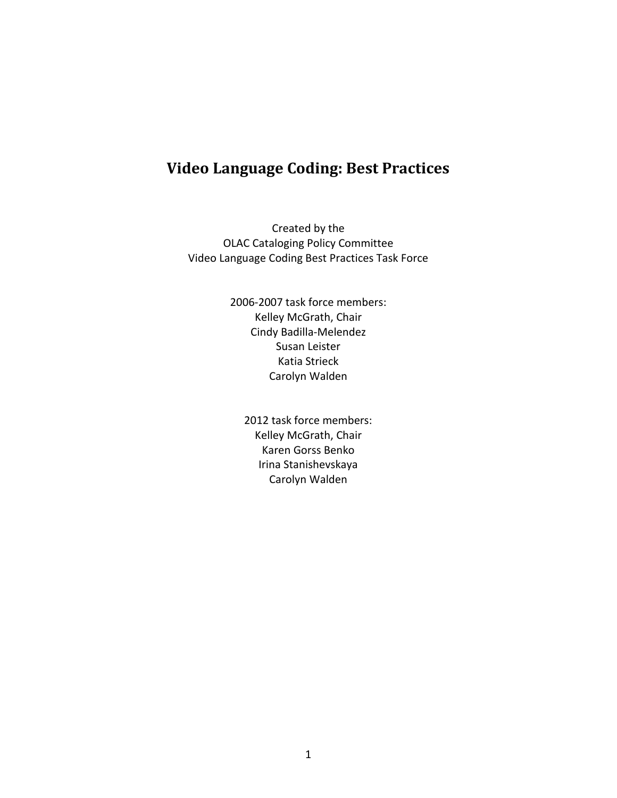## **Video Language Coding: Best Practices**

Created by the OLAC Cataloging Policy Committee Video Language Coding Best Practices Task Force

> 2006-2007 task force members: Kelley McGrath, Chair Cindy Badilla-Melendez Susan Leister Katia Strieck Carolyn Walden

2012 task force members: Kelley McGrath, Chair Karen Gorss Benko Irina Stanishevskaya Carolyn Walden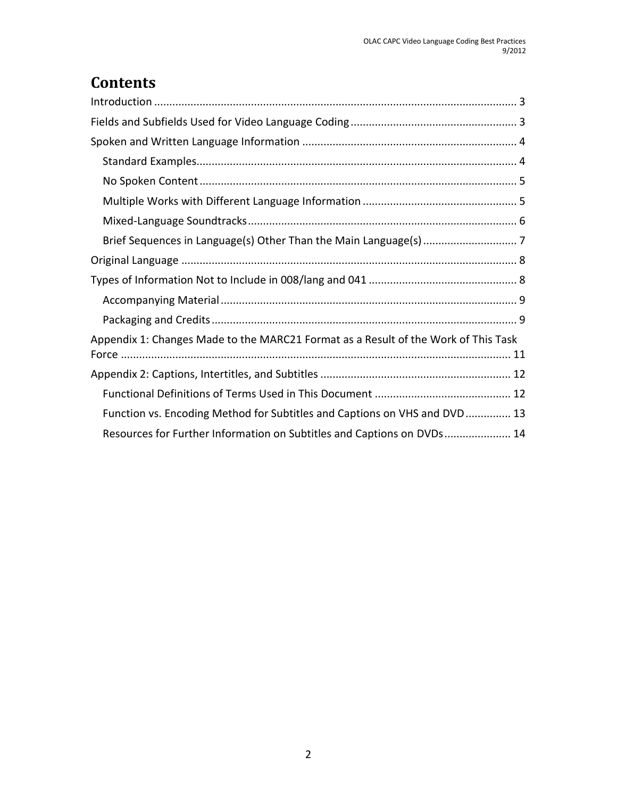# **Contents**

| Appendix 1: Changes Made to the MARC21 Format as a Result of the Work of This Task |
|------------------------------------------------------------------------------------|
|                                                                                    |
|                                                                                    |
| Function vs. Encoding Method for Subtitles and Captions on VHS and DVD 13          |
| Resources for Further Information on Subtitles and Captions on DVDs 14             |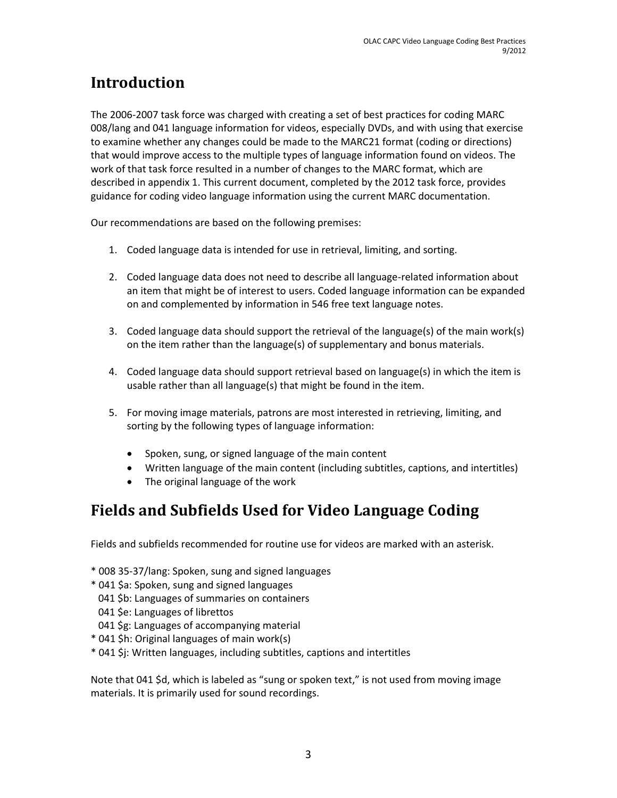# <span id="page-2-0"></span>**Introduction**

The 2006-2007 task force was charged with creating a set of best practices for coding MARC 008/lang and 041 language information for videos, especially DVDs, and with using that exercise to examine whether any changes could be made to the MARC21 format (coding or directions) that would improve access to the multiple types of language information found on videos. The work of that task force resulted in a number of changes to the MARC format, which are described in appendix 1. This current document, completed by the 2012 task force, provides guidance for coding video language information using the current MARC documentation.

Our recommendations are based on the following premises:

- 1. Coded language data is intended for use in retrieval, limiting, and sorting.
- 2. Coded language data does not need to describe all language-related information about an item that might be of interest to users. Coded language information can be expanded on and complemented by information in 546 free text language notes.
- 3. Coded language data should support the retrieval of the language(s) of the main work(s) on the item rather than the language(s) of supplementary and bonus materials.
- 4. Coded language data should support retrieval based on language(s) in which the item is usable rather than all language(s) that might be found in the item.
- 5. For moving image materials, patrons are most interested in retrieving, limiting, and sorting by the following types of language information:
	- Spoken, sung, or signed language of the main content
	- Written language of the main content (including subtitles, captions, and intertitles)
	- The original language of the work

## <span id="page-2-1"></span>**Fields and Subfields Used for Video Language Coding**

Fields and subfields recommended for routine use for videos are marked with an asterisk.

- \* 008 35-37/lang: Spoken, sung and signed languages
- \* 041 \$a: Spoken, sung and signed languages
- 041 \$b: Languages of summaries on containers
- 041 \$e: Languages of librettos
- 041 \$g: Languages of accompanying material
- \* 041 \$h: Original languages of main work(s)
- \* 041 \$j: Written languages, including subtitles, captions and intertitles

Note that 041 \$d, which is labeled as "sung or spoken text," is not used from moving image materials. It is primarily used for sound recordings.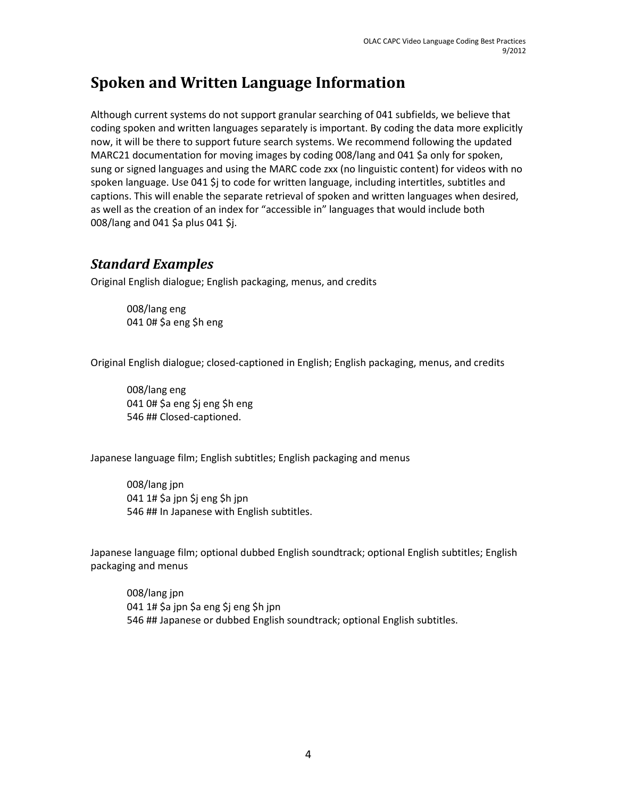## <span id="page-3-0"></span>**Spoken and Written Language Information**

Although current systems do not support granular searching of 041 subfields, we believe that coding spoken and written languages separately is important. By coding the data more explicitly now, it will be there to support future search systems. We recommend following the updated MARC21 documentation for moving images by coding 008/lang and 041 \$a only for spoken, sung or signed languages and using the MARC code zxx (no linguistic content) for videos with no spoken language. Use 041 \$j to code for written language, including intertitles, subtitles and captions. This will enable the separate retrieval of spoken and written languages when desired, as well as the creation of an index for "accessible in" languages that would include both 008/lang and 041 \$a plus 041 \$j.

### <span id="page-3-1"></span>*Standard Examples*

Original English dialogue; English packaging, menus, and credits

008/lang eng 041 0# \$a eng \$h eng

Original English dialogue; closed-captioned in English; English packaging, menus, and credits

008/lang eng 041 0# \$a eng \$j eng \$h eng 546 ## Closed-captioned.

Japanese language film; English subtitles; English packaging and menus

008/lang jpn 041 1# \$a jpn \$j eng \$h jpn 546 ## In Japanese with English subtitles.

Japanese language film; optional dubbed English soundtrack; optional English subtitles; English packaging and menus

008/lang jpn 041 1# \$a jpn \$a eng \$j eng \$h jpn 546 ## Japanese or dubbed English soundtrack; optional English subtitles.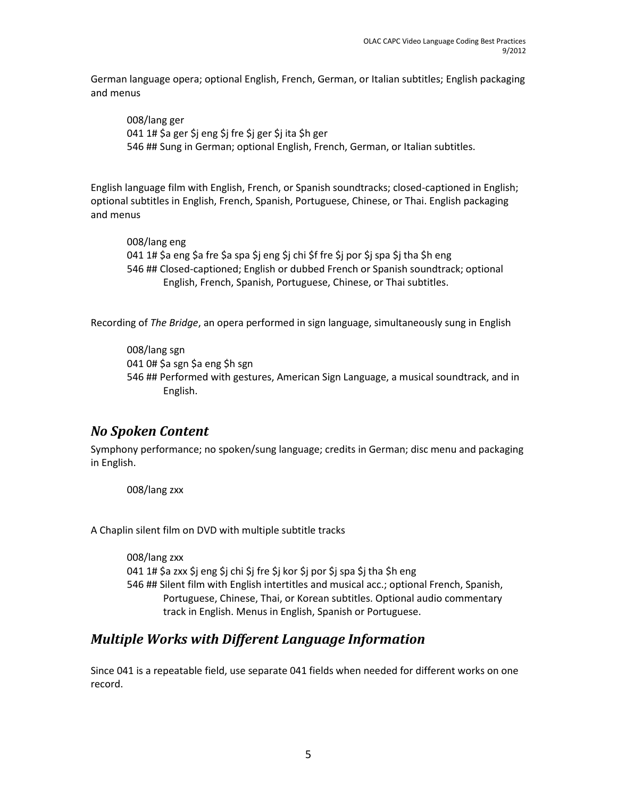German language opera; optional English, French, German, or Italian subtitles; English packaging and menus

008/lang ger 041 1# \$a ger \$j eng \$j fre \$j ger \$j ita \$h ger 546 ## Sung in German; optional English, French, German, or Italian subtitles.

English language film with English, French, or Spanish soundtracks; closed-captioned in English; optional subtitles in English, French, Spanish, Portuguese, Chinese, or Thai. English packaging and menus

008/lang eng 041 1# \$a eng \$a fre \$a spa \$j eng \$j chi \$f fre \$j por \$j spa \$j tha \$h eng 546 ## Closed-captioned; English or dubbed French or Spanish soundtrack; optional English, French, Spanish, Portuguese, Chinese, or Thai subtitles.

Recording of *The Bridge*, an opera performed in sign language, simultaneously sung in English

008/lang sgn 041 0# \$a sgn \$a eng \$h sgn 546 ## Performed with gestures, American Sign Language, a musical soundtrack, and in English.

### <span id="page-4-0"></span>*No Spoken Content*

Symphony performance; no spoken/sung language; credits in German; disc menu and packaging in English.

008/lang zxx

A Chaplin silent film on DVD with multiple subtitle tracks

008/lang zxx 041 1# \$a zxx \$j eng \$j chi \$j fre \$j kor \$j por \$j spa \$j tha \$h eng 546 ## Silent film with English intertitles and musical acc.; optional French, Spanish, Portuguese, Chinese, Thai, or Korean subtitles. Optional audio commentary track in English. Menus in English, Spanish or Portuguese.

### <span id="page-4-1"></span>*Multiple Works with Different Language Information*

Since 041 is a repeatable field, use separate 041 fields when needed for different works on one record.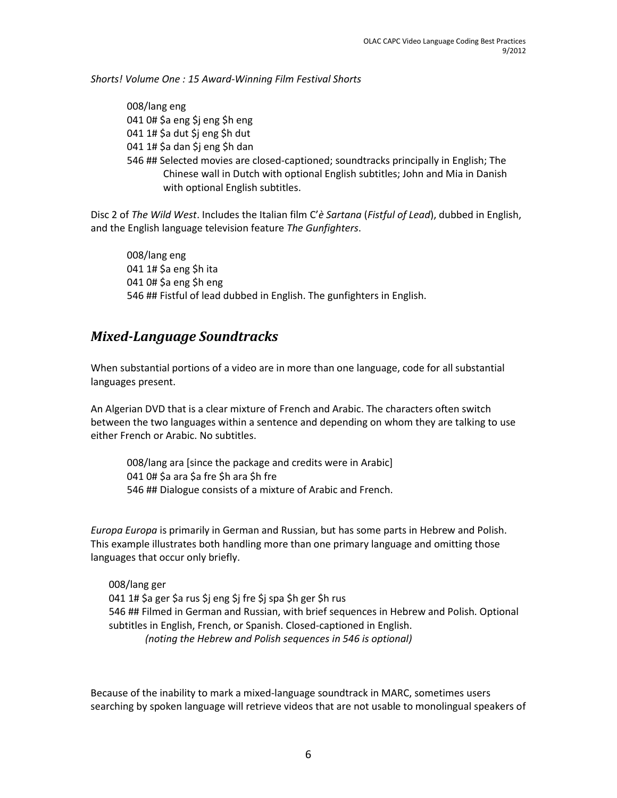*Shorts! Volume One : 15 Award-Winning Film Festival Shorts* 

008/lang eng 041 0# \$a eng \$j eng \$h eng 041 1# \$a dut \$j eng \$h dut 041 1# \$a dan \$j eng \$h dan 546 ## Selected movies are closed-captioned; soundtracks principally in English; The Chinese wall in Dutch with optional English subtitles; John and Mia in Danish with optional English subtitles.

Disc 2 of *The Wild West*. Includes the Italian film C'*è Sartana* (*Fistful of Lead*), dubbed in English, and the English language television feature *The Gunfighters*.

008/lang eng 041 1# \$a eng \$h ita 041 0# \$a eng \$h eng 546 ## Fistful of lead dubbed in English. The gunfighters in English.

### <span id="page-5-0"></span>*Mixed-Language Soundtracks*

When substantial portions of a video are in more than one language, code for all substantial languages present.

An Algerian DVD that is a clear mixture of French and Arabic. The characters often switch between the two languages within a sentence and depending on whom they are talking to use either French or Arabic. No subtitles.

008/lang ara [since the package and credits were in Arabic] 041 0# \$a ara \$a fre \$h ara \$h fre 546 ## Dialogue consists of a mixture of Arabic and French.

*Europa Europa* is primarily in German and Russian, but has some parts in Hebrew and Polish. This example illustrates both handling more than one primary language and omitting those languages that occur only briefly.

008/lang ger 041 1# \$a ger \$a rus \$j eng \$j fre \$j spa \$h ger \$h rus 546 ## Filmed in German and Russian, with brief sequences in Hebrew and Polish. Optional subtitles in English, French, or Spanish. Closed-captioned in English. *(noting the Hebrew and Polish sequences in 546 is optional)* 

Because of the inability to mark a mixed-language soundtrack in MARC, sometimes users searching by spoken language will retrieve videos that are not usable to monolingual speakers of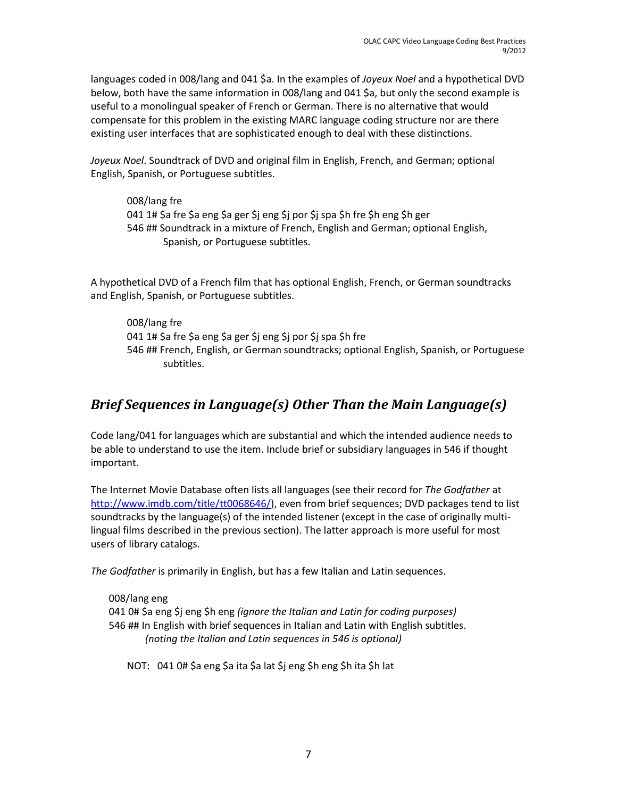languages coded in 008/lang and 041 \$a. In the examples of *Joyeux Noel* and a hypothetical DVD below, both have the same information in 008/lang and 041 \$a, but only the second example is useful to a monolingual speaker of French or German. There is no alternative that would compensate for this problem in the existing MARC language coding structure nor are there existing user interfaces that are sophisticated enough to deal with these distinctions.

*Joyeux Noel*. Soundtrack of DVD and original film in English, French, and German; optional English, Spanish, or Portuguese subtitles.

008/lang fre 041 1# \$a fre \$a eng \$a ger \$j eng \$j por \$j spa \$h fre \$h eng \$h ger 546 ## Soundtrack in a mixture of French, English and German; optional English, Spanish, or Portuguese subtitles.

A hypothetical DVD of a French film that has optional English, French, or German soundtracks and English, Spanish, or Portuguese subtitles.

008/lang fre 041 1# \$a fre \$a eng \$a ger \$j eng \$j por \$j spa \$h fre 546 ## French, English, or German soundtracks; optional English, Spanish, or Portuguese subtitles.

### <span id="page-6-0"></span>*Brief Sequences in Language(s) Other Than the Main Language(s)*

Code lang/041 for languages which are substantial and which the intended audience needs to be able to understand to use the item. Include brief or subsidiary languages in 546 if thought important.

The Internet Movie Database often lists all languages (see their record for *The Godfather* at [http://www.imdb.com/title/tt0068646/\)](http://www.imdb.com/title/tt0068646/), even from brief sequences; DVD packages tend to list soundtracks by the language(s) of the intended listener (except in the case of originally multilingual films described in the previous section). The latter approach is more useful for most users of library catalogs.

*The Godfather* is primarily in English, but has a few Italian and Latin sequences.

008/lang eng 041 0# \$a eng \$j eng \$h eng *(ignore the Italian and Latin for coding purposes)* 546 ## In English with brief sequences in Italian and Latin with English subtitles. *(noting the Italian and Latin sequences in 546 is optional)* 

NOT: 041 0# \$a eng \$a ita \$a lat \$j eng \$h eng \$h ita \$h lat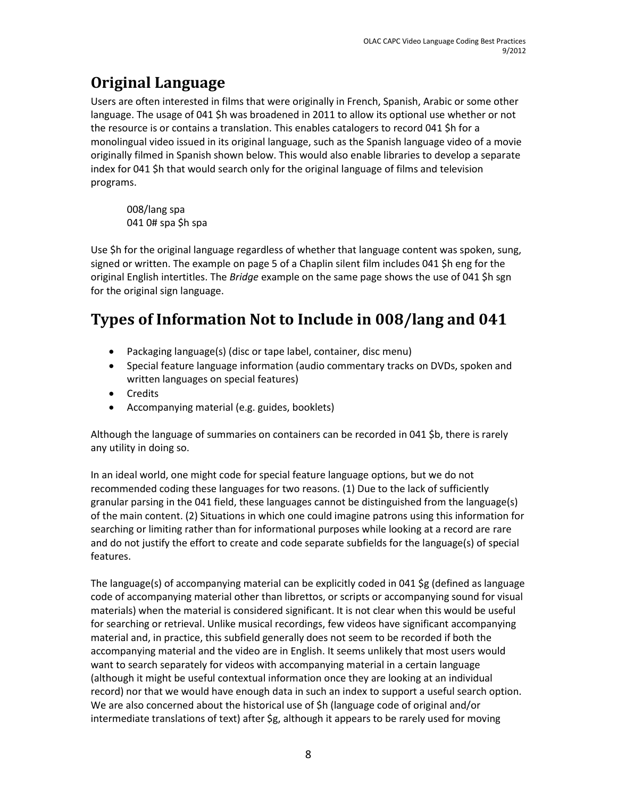# <span id="page-7-0"></span>**Original Language**

Users are often interested in films that were originally in French, Spanish, Arabic or some other language. The usage of 041 \$h was broadened in 2011 to allow its optional use whether or not the resource is or contains a translation. This enables catalogers to record 041 \$h for a monolingual video issued in its original language, such as the Spanish language video of a movie originally filmed in Spanish shown below. This would also enable libraries to develop a separate index for 041 \$h that would search only for the original language of films and television programs.

008/lang spa 041 0# spa \$h spa

Use \$h for the original language regardless of whether that language content was spoken, sung, signed or written. The example on page 5 of a Chaplin silent film includes 041 \$h eng for the original English intertitles. The *Bridge* example on the same page shows the use of 041 \$h sgn for the original sign language.

# <span id="page-7-1"></span>**Types of Information Not to Include in 008/lang and 041**

- Packaging language(s) (disc or tape label, container, disc menu)
- Special feature language information (audio commentary tracks on DVDs, spoken and written languages on special features)
- Credits
- Accompanying material (e.g. guides, booklets)

Although the language of summaries on containers can be recorded in 041 \$b, there is rarely any utility in doing so.

In an ideal world, one might code for special feature language options, but we do not recommended coding these languages for two reasons. (1) Due to the lack of sufficiently granular parsing in the 041 field, these languages cannot be distinguished from the language(s) of the main content. (2) Situations in which one could imagine patrons using this information for searching or limiting rather than for informational purposes while looking at a record are rare and do not justify the effort to create and code separate subfields for the language(s) of special features.

The language(s) of accompanying material can be explicitly coded in 041 \$g (defined as language code of accompanying material other than librettos, or scripts or accompanying sound for visual materials) when the material is considered significant. It is not clear when this would be useful for searching or retrieval. Unlike musical recordings, few videos have significant accompanying material and, in practice, this subfield generally does not seem to be recorded if both the accompanying material and the video are in English. It seems unlikely that most users would want to search separately for videos with accompanying material in a certain language (although it might be useful contextual information once they are looking at an individual record) nor that we would have enough data in such an index to support a useful search option. We are also concerned about the historical use of \$h (language code of original and/or intermediate translations of text) after \$g, although it appears to be rarely used for moving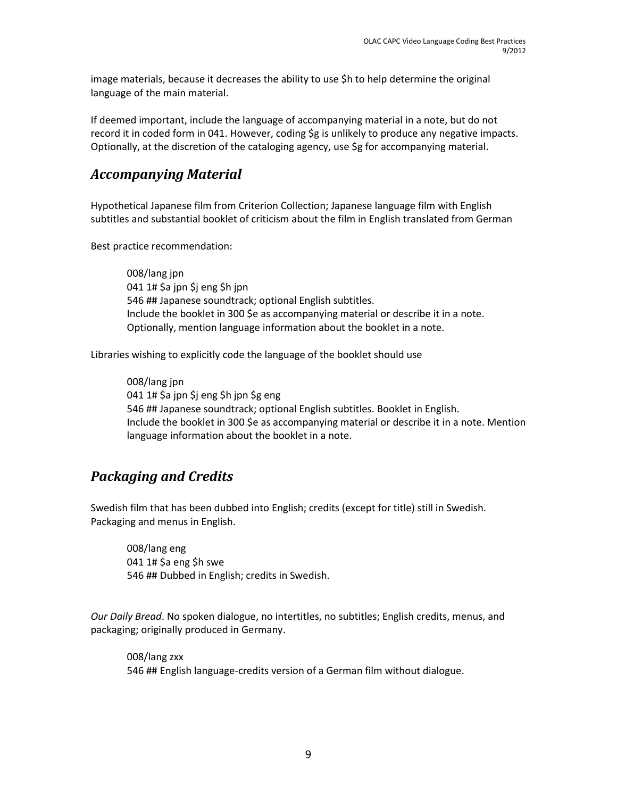image materials, because it decreases the ability to use \$h to help determine the original language of the main material.

If deemed important, include the language of accompanying material in a note, but do not record it in coded form in 041. However, coding \$g is unlikely to produce any negative impacts. Optionally, at the discretion of the cataloging agency, use \$g for accompanying material.

### <span id="page-8-0"></span>*Accompanying Material*

Hypothetical Japanese film from Criterion Collection; Japanese language film with English subtitles and substantial booklet of criticism about the film in English translated from German

Best practice recommendation:

008/lang jpn 041 1# \$a jpn \$j eng \$h jpn 546 ## Japanese soundtrack; optional English subtitles. Include the booklet in 300 \$e as accompanying material or describe it in a note. Optionally, mention language information about the booklet in a note.

Libraries wishing to explicitly code the language of the booklet should use

008/lang jpn 041 1# \$a jpn \$j eng \$h jpn \$g eng 546 ## Japanese soundtrack; optional English subtitles. Booklet in English. Include the booklet in 300 \$e as accompanying material or describe it in a note. Mention language information about the booklet in a note.

### <span id="page-8-1"></span>*Packaging and Credits*

Swedish film that has been dubbed into English; credits (except for title) still in Swedish. Packaging and menus in English.

008/lang eng 041 1# \$a eng \$h swe 546 ## Dubbed in English; credits in Swedish.

*Our Daily Bread*. No spoken dialogue, no intertitles, no subtitles; English credits, menus, and packaging; originally produced in Germany.

008/lang zxx 546 ## English language-credits version of a German film without dialogue.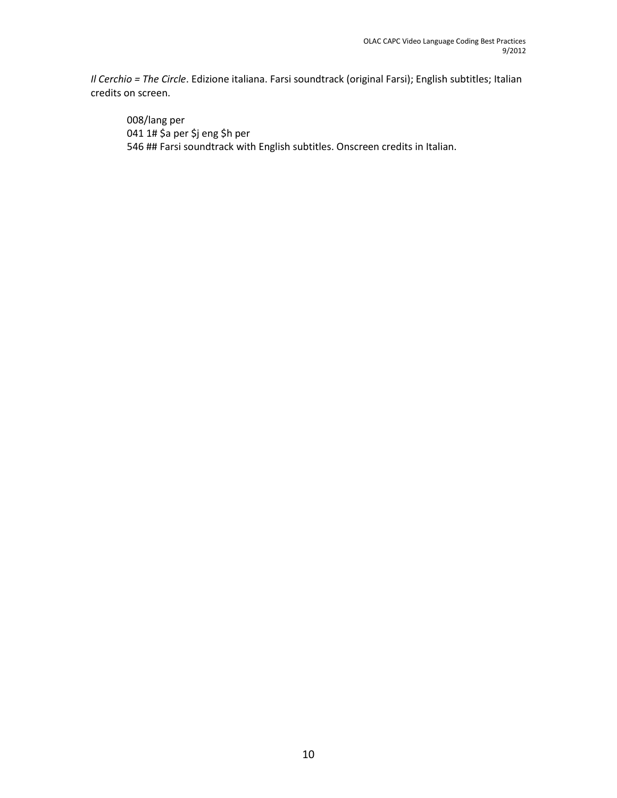*Il Cerchio = The Circle*. Edizione italiana. Farsi soundtrack (original Farsi); English subtitles; Italian credits on screen.

008/lang per 041 1# \$a per \$j eng \$h per 546 ## Farsi soundtrack with English subtitles. Onscreen credits in Italian.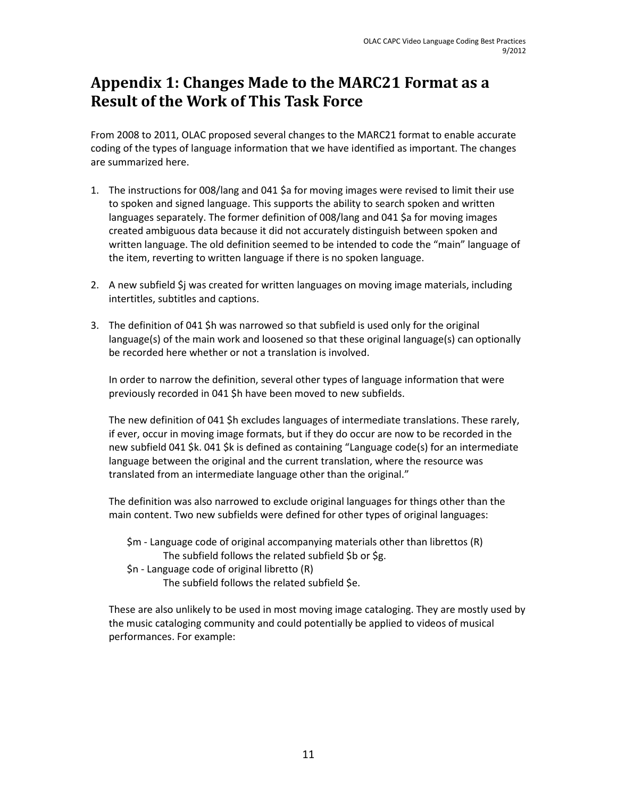## <span id="page-10-0"></span>**Appendix 1: Changes Made to the MARC21 Format as a Result of the Work of This Task Force**

From 2008 to 2011, OLAC proposed several changes to the MARC21 format to enable accurate coding of the types of language information that we have identified as important. The changes are summarized here.

- 1. The instructions for 008/lang and 041 \$a for moving images were revised to limit their use to spoken and signed language. This supports the ability to search spoken and written languages separately. The former definition of 008/lang and 041 \$a for moving images created ambiguous data because it did not accurately distinguish between spoken and written language. The old definition seemed to be intended to code the "main" language of the item, reverting to written language if there is no spoken language.
- 2. A new subfield \$j was created for written languages on moving image materials, including intertitles, subtitles and captions.
- 3. The definition of 041 \$h was narrowed so that subfield is used only for the original language(s) of the main work and loosened so that these original language(s) can optionally be recorded here whether or not a translation is involved.

In order to narrow the definition, several other types of language information that were previously recorded in 041 \$h have been moved to new subfields.

The new definition of 041 \$h excludes languages of intermediate translations. These rarely, if ever, occur in moving image formats, but if they do occur are now to be recorded in the new subfield 041 \$k. 041 \$k is defined as containing "Language code(s) for an intermediate language between the original and the current translation, where the resource was translated from an intermediate language other than the original."

The definition was also narrowed to exclude original languages for things other than the main content. Two new subfields were defined for other types of original languages:

\$m - Language code of original accompanying materials other than librettos (R) The subfield follows the related subfield \$b or \$g.

\$n - Language code of original libretto (R)

The subfield follows the related subfield \$e.

These are also unlikely to be used in most moving image cataloging. They are mostly used by the music cataloging community and could potentially be applied to videos of musical performances. For example: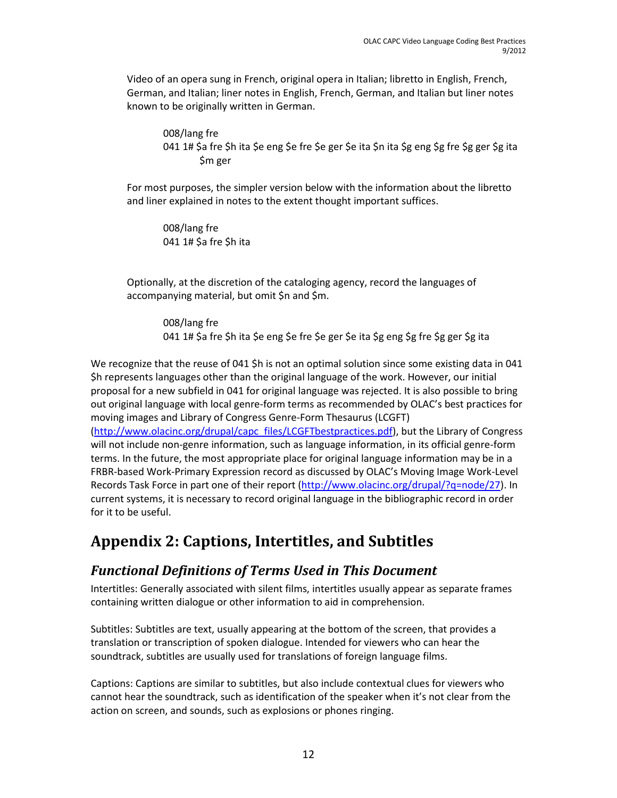Video of an opera sung in French, original opera in Italian; libretto in English, French, German, and Italian; liner notes in English, French, German, and Italian but liner notes known to be originally written in German.

008/lang fre 041 1# \$a fre \$h ita \$e eng \$e fre \$e ger \$e ita \$n ita \$g eng \$g fre \$g ger \$g ita \$m ger

For most purposes, the simpler version below with the information about the libretto and liner explained in notes to the extent thought important suffices.

008/lang fre 041 1# \$a fre \$h ita

Optionally, at the discretion of the cataloging agency, record the languages of accompanying material, but omit \$n and \$m.

008/lang fre 041 1# \$a fre \$h ita \$e eng \$e fre \$e ger \$e ita \$g eng \$g fre \$g ger \$g ita

We recognize that the reuse of 041 \$h is not an optimal solution since some existing data in 041 \$h represents languages other than the original language of the work. However, our initial proposal for a new subfield in 041 for original language was rejected. It is also possible to bring out original language with local genre-form terms as recommended by OLAC's best practices for moving images and Library of Congress Genre-Form Thesaurus (LCGFT) [\(http://www.olacinc.org/drupal/capc\\_files/LCGFTbestpractices.pdf\)](http://www.olacinc.org/drupal/capc_files/LCGFTbestpractices.pdf), but the Library of Congress will not include non-genre information, such as language information, in its official genre-form terms. In the future, the most appropriate place for original language information may be in a FRBR-based Work-Primary Expression record as discussed by OLAC's Moving Image Work-Level

Records Task Force in part one of their report [\(http://www.olacinc.org/drupal/?q=node/27\)](http://www.olacinc.org/drupal/?q=node/27). In current systems, it is necessary to record original language in the bibliographic record in order for it to be useful.

## <span id="page-11-0"></span>**Appendix 2: Captions, Intertitles, and Subtitles**

## <span id="page-11-1"></span>*Functional Definitions of Terms Used in This Document*

Intertitles: Generally associated with silent films, intertitles usually appear as separate frames containing written dialogue or other information to aid in comprehension.

Subtitles: Subtitles are text, usually appearing at the bottom of the screen, that provides a translation or transcription of spoken dialogue. Intended for viewers who can hear the soundtrack, subtitles are usually used for translations of foreign language films.

Captions: Captions are similar to subtitles, but also include contextual clues for viewers who cannot hear the soundtrack, such as identification of the speaker when it's not clear from the action on screen, and sounds, such as explosions or phones ringing.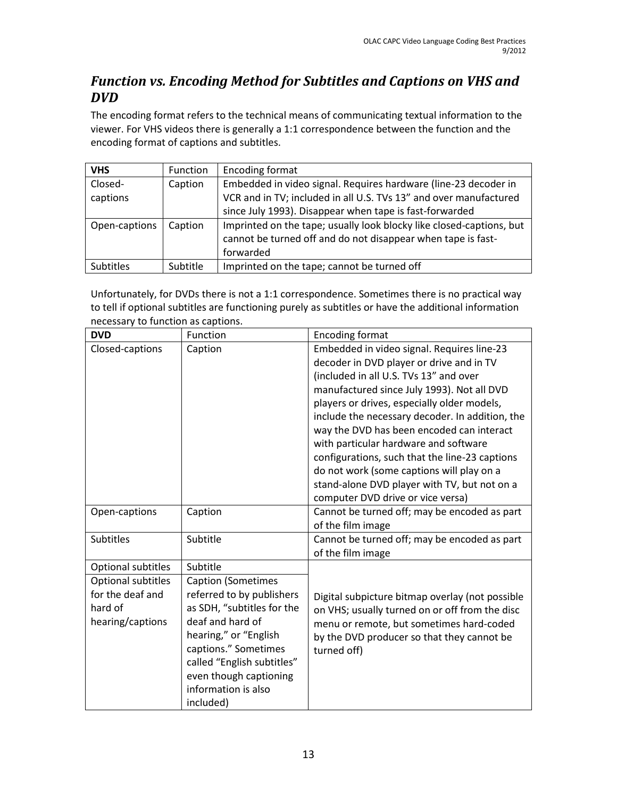## <span id="page-12-0"></span>*Function vs. Encoding Method for Subtitles and Captions on VHS and DVD*

The encoding format refers to the technical means of communicating textual information to the viewer. For VHS videos there is generally a 1:1 correspondence between the function and the encoding format of captions and subtitles.

| <b>VHS</b>          | Function | Encoding format                                                                                                                                                                                 |
|---------------------|----------|-------------------------------------------------------------------------------------------------------------------------------------------------------------------------------------------------|
| Closed-<br>captions | Caption  | Embedded in video signal. Requires hardware (line-23 decoder in<br>VCR and in TV; included in all U.S. TVs 13" and over manufactured<br>since July 1993). Disappear when tape is fast-forwarded |
| Open-captions       | Caption  | Imprinted on the tape; usually look blocky like closed-captions, but<br>cannot be turned off and do not disappear when tape is fast-<br>forwarded                                               |
| Subtitles           | Subtitle | Imprinted on the tape; cannot be turned off                                                                                                                                                     |

Unfortunately, for DVDs there is not a 1:1 correspondence. Sometimes there is no practical way to tell if optional subtitles are functioning purely as subtitles or have the additional information necessary to function as captions.

| <b>DVD</b>                                                            | Function                                                                                                                                                                                                                                              | <b>Encoding format</b>                                                                                                                                                                                                                                                                                                                                                                                                                                                                                                |
|-----------------------------------------------------------------------|-------------------------------------------------------------------------------------------------------------------------------------------------------------------------------------------------------------------------------------------------------|-----------------------------------------------------------------------------------------------------------------------------------------------------------------------------------------------------------------------------------------------------------------------------------------------------------------------------------------------------------------------------------------------------------------------------------------------------------------------------------------------------------------------|
| Closed-captions                                                       | Caption                                                                                                                                                                                                                                               | Embedded in video signal. Requires line-23<br>decoder in DVD player or drive and in TV<br>(included in all U.S. TVs 13" and over<br>manufactured since July 1993). Not all DVD<br>players or drives, especially older models,<br>include the necessary decoder. In addition, the<br>way the DVD has been encoded can interact<br>with particular hardware and software<br>configurations, such that the line-23 captions<br>do not work (some captions will play on a<br>stand-alone DVD player with TV, but not on a |
|                                                                       |                                                                                                                                                                                                                                                       | computer DVD drive or vice versa)                                                                                                                                                                                                                                                                                                                                                                                                                                                                                     |
| Open-captions                                                         | Caption                                                                                                                                                                                                                                               | Cannot be turned off; may be encoded as part<br>of the film image                                                                                                                                                                                                                                                                                                                                                                                                                                                     |
| Subtitles                                                             | Subtitle                                                                                                                                                                                                                                              | Cannot be turned off; may be encoded as part<br>of the film image                                                                                                                                                                                                                                                                                                                                                                                                                                                     |
| Optional subtitles                                                    | Subtitle                                                                                                                                                                                                                                              |                                                                                                                                                                                                                                                                                                                                                                                                                                                                                                                       |
| Optional subtitles<br>for the deaf and<br>hard of<br>hearing/captions | <b>Caption (Sometimes</b><br>referred to by publishers<br>as SDH, "subtitles for the<br>deaf and hard of<br>hearing," or "English<br>captions." Sometimes<br>called "English subtitles"<br>even though captioning<br>information is also<br>included) | Digital subpicture bitmap overlay (not possible<br>on VHS; usually turned on or off from the disc<br>menu or remote, but sometimes hard-coded<br>by the DVD producer so that they cannot be<br>turned off)                                                                                                                                                                                                                                                                                                            |